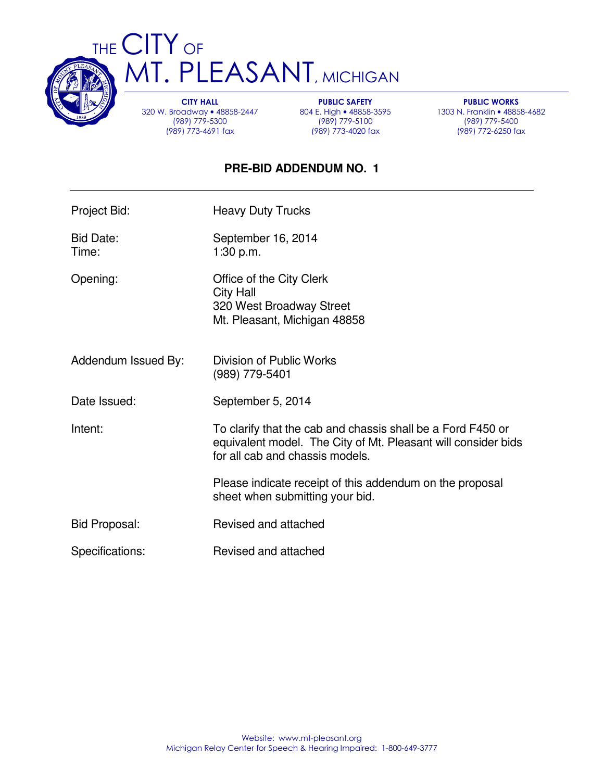

THE CITY OF **MT. PLEASANT, MICHIGAN** 

> CITY HALL 320 W. Broadway • 48858-2447 (989) 779-5300 (989) 773-4691 fax

PUBLIC SAFETY 804 E. High • 48858-3595 (989) 779-5100 (989) 773-4020 fax

PUBLIC WORKS 1303 N. Franklin • 48858-4682 (989) 779-5400 (989) 772-6250 fax

## **PRE-BID ADDENDUM NO. 1**

| Project Bid:         | <b>Heavy Duty Trucks</b>                                                                                                                                        |
|----------------------|-----------------------------------------------------------------------------------------------------------------------------------------------------------------|
| Bid Date:<br>Time:   | September 16, 2014<br>1:30 p.m.                                                                                                                                 |
| Opening:             | Office of the City Clerk<br><b>City Hall</b><br>320 West Broadway Street<br>Mt. Pleasant, Michigan 48858                                                        |
| Addendum Issued By:  | Division of Public Works<br>(989) 779-5401                                                                                                                      |
| Date Issued:         | September 5, 2014                                                                                                                                               |
| Intent:              | To clarify that the cab and chassis shall be a Ford F450 or<br>equivalent model. The City of Mt. Pleasant will consider bids<br>for all cab and chassis models. |
|                      | Please indicate receipt of this addendum on the proposal<br>sheet when submitting your bid.                                                                     |
| <b>Bid Proposal:</b> | Revised and attached                                                                                                                                            |
| Specifications:      | Revised and attached                                                                                                                                            |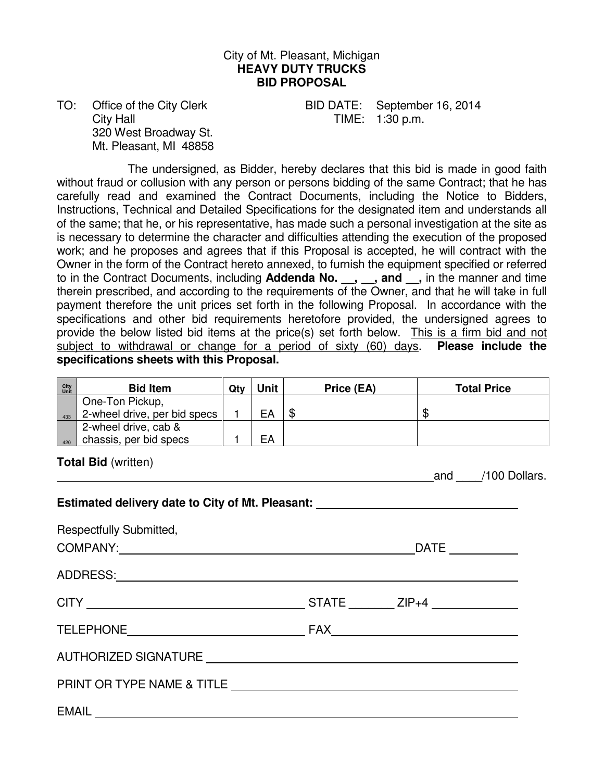#### City of Mt. Pleasant, Michigan **HEAVY DUTY TRUCKS BID PROPOSAL**

City Hall **City Hall TIME:** 1:30 p.m. 320 West Broadway St. Mt. Pleasant, MI 48858

TO: Office of the City Clerk BID DATE: September 16, 2014

 The undersigned, as Bidder, hereby declares that this bid is made in good faith without fraud or collusion with any person or persons bidding of the same Contract; that he has carefully read and examined the Contract Documents, including the Notice to Bidders, Instructions, Technical and Detailed Specifications for the designated item and understands all of the same; that he, or his representative, has made such a personal investigation at the site as is necessary to determine the character and difficulties attending the execution of the proposed work; and he proposes and agrees that if this Proposal is accepted, he will contract with the Owner in the form of the Contract hereto annexed, to furnish the equipment specified or referred to in the Contract Documents, including **Addenda No.** , , and , in the manner and time therein prescribed, and according to the requirements of the Owner, and that he will take in full payment therefore the unit prices set forth in the following Proposal. In accordance with the specifications and other bid requirements heretofore provided, the undersigned agrees to provide the below listed bid items at the price(s) set forth below. This is a firm bid and not subject to withdrawal or change for a period of sixty (60) days. **Please include the specifications sheets with this Proposal.** 

| City<br>Unit                                                                                                                                                                                                                  | <b>Bid Item</b>                                 | Qty   | Unit | Price (EA)    | <b>Total Price</b> |
|-------------------------------------------------------------------------------------------------------------------------------------------------------------------------------------------------------------------------------|-------------------------------------------------|-------|------|---------------|--------------------|
| 433                                                                                                                                                                                                                           | One-Ton Pickup,<br>2-wheel drive, per bid specs | $1 -$ | EA   | $\frac{1}{2}$ | $\mathfrak{F}$     |
|                                                                                                                                                                                                                               | 2-wheel drive, cab &                            |       |      |               |                    |
| 420                                                                                                                                                                                                                           | chassis, per bid specs<br>_   1                 |       | l EA |               |                    |
|                                                                                                                                                                                                                               | <b>Total Bid (written)</b>                      |       |      |               |                    |
| and /100 Dollars.                                                                                                                                                                                                             |                                                 |       |      |               |                    |
| Estimated delivery date to City of Mt. Pleasant: _______________________________                                                                                                                                              |                                                 |       |      |               |                    |
| Respectfully Submitted,                                                                                                                                                                                                       |                                                 |       |      |               |                    |
|                                                                                                                                                                                                                               |                                                 |       |      |               |                    |
| ADDRESS: ADDRESS:                                                                                                                                                                                                             |                                                 |       |      |               |                    |
|                                                                                                                                                                                                                               |                                                 |       |      |               |                    |
|                                                                                                                                                                                                                               |                                                 |       |      |               |                    |
|                                                                                                                                                                                                                               |                                                 |       |      |               |                    |
| PRINT OR TYPE NAME & TITLE THE THEFT OF THE STATE OF THE STATE OF THE STATE OF THE STATE OF THE STATE OF THE STATE OF THE STATE OF THE STATE OF THE STATE OF THE STATE OF THE STATE OF THE STATE OF THE STATE OF THE STATE OF |                                                 |       |      |               |                    |
|                                                                                                                                                                                                                               |                                                 |       |      |               |                    |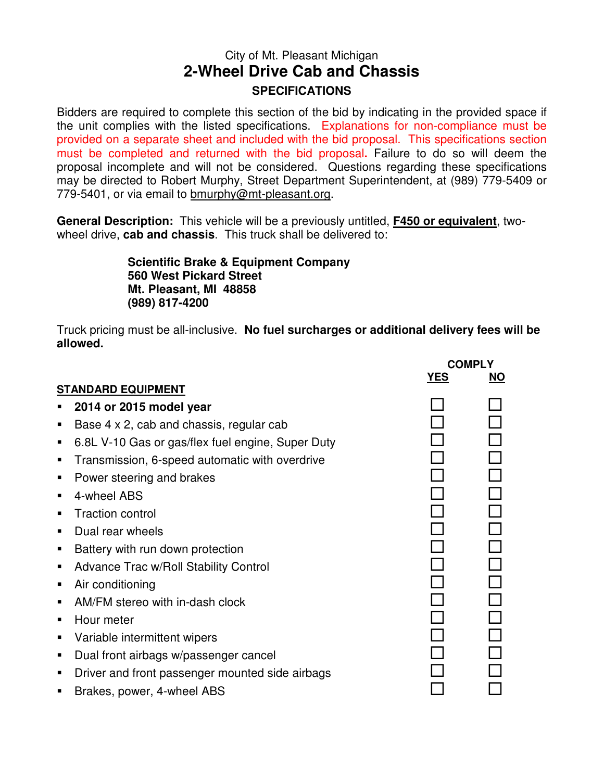# City of Mt. Pleasant Michigan **2-Wheel Drive Cab and Chassis SPECIFICATIONS**

Bidders are required to complete this section of the bid by indicating in the provided space if the unit complies with the listed specifications. Explanations for non-compliance must be provided on a separate sheet and included with the bid proposal. This specifications section must be completed and returned with the bid proposal**.** Failure to do so will deem the proposal incomplete and will not be considered. Questions regarding these specifications may be directed to Robert Murphy, Street Department Superintendent, at (989) 779-5409 or 779-5401, or via email to bmurphy@mt-pleasant.org.

**General Description:** This vehicle will be a previously untitled, **F450 or equivalent**, twowheel drive, **cab and chassis**. This truck shall be delivered to:

> **Scientific Brake & Equipment Company 560 West Pickard Street Mt. Pleasant, MI 48858 (989) 817-4200**

Truck pricing must be all-inclusive. **No fuel surcharges or additional delivery fees will be allowed.** 

|   |                                                   |            | <b>COMPLY</b> |
|---|---------------------------------------------------|------------|---------------|
|   | <b>STANDARD EQUIPMENT</b>                         | <b>YES</b> | <b>NO</b>     |
|   | 2014 or 2015 model year                           |            |               |
| п | Base 4 x 2, cab and chassis, regular cab          |            |               |
| П | 6.8L V-10 Gas or gas/flex fuel engine, Super Duty |            |               |
| п | Transmission, 6-speed automatic with overdrive    |            |               |
| п | Power steering and brakes                         |            |               |
| п | 4-wheel ABS                                       |            |               |
| п | <b>Traction control</b>                           |            |               |
| ▪ | Dual rear wheels                                  |            |               |
| п | Battery with run down protection                  |            |               |
| п | <b>Advance Trac w/Roll Stability Control</b>      |            |               |
| п | Air conditioning                                  |            |               |
| п | AM/FM stereo with in-dash clock                   |            |               |
| ▪ | Hour meter                                        |            |               |
| п | Variable intermittent wipers                      |            |               |
| п | Dual front airbags w/passenger cancel             |            |               |
| п | Driver and front passenger mounted side airbags   |            |               |
|   | Brakes, power, 4-wheel ABS                        |            |               |